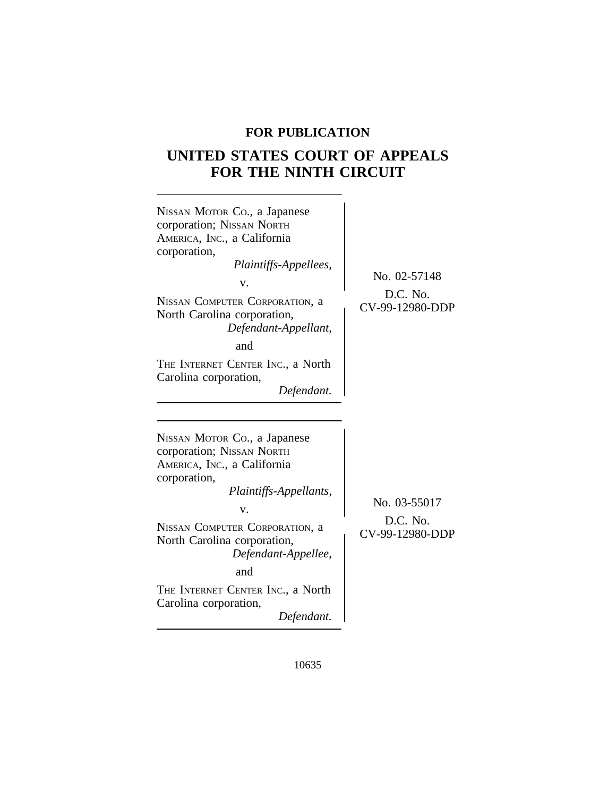# **FOR PUBLICATION**

# **UNITED STATES COURT OF APPEALS FOR THE NINTH CIRCUIT**



10635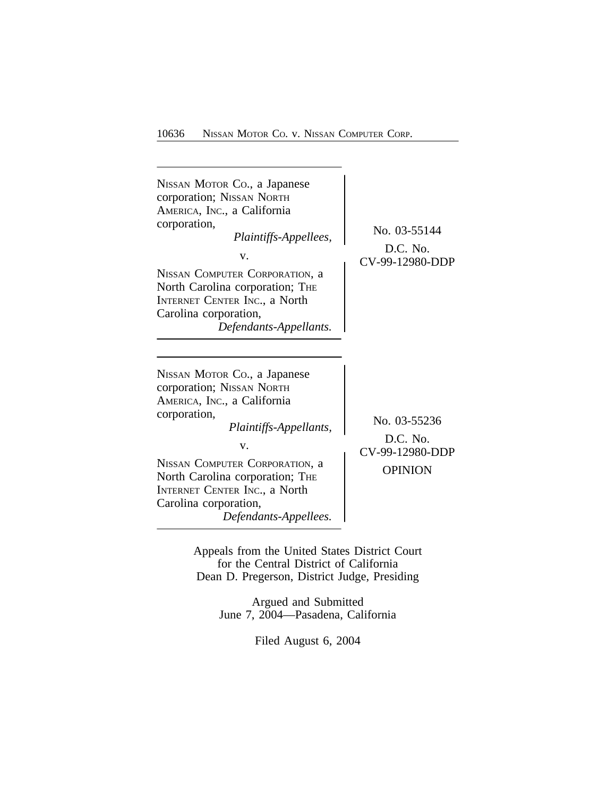| NISSAN MOTOR Co., a Japanese<br>corporation; NISSAN NORTH<br>AMERICA, INC., a California<br>corporation,<br>Plaintiffs-Appellees,<br>V.<br>NISSAN COMPUTER CORPORATION, a<br>North Carolina corporation; THE<br><b>INTERNET CENTER INC., a North</b><br>Carolina corporation,<br>Defendants-Appellants. | No. 03-55144<br>D.C. No.<br>CV-99-12980-DDP                   |
|---------------------------------------------------------------------------------------------------------------------------------------------------------------------------------------------------------------------------------------------------------------------------------------------------------|---------------------------------------------------------------|
| NISSAN MOTOR Co., a Japanese<br>corporation; NISSAN NORTH<br>AMERICA, INC., a California<br>corporation,<br>Plaintiffs-Appellants,<br>V.<br>NISSAN COMPUTER CORPORATION, a<br>North Carolina corporation; THE<br><b>INTERNET CENTER INC., a North</b><br>Carolina corporation,<br>Defendants-Appellees. | No. 03-55236<br>D.C. No.<br>CV-99-12980-DDP<br><b>OPINION</b> |

Appeals from the United States District Court for the Central District of California Dean D. Pregerson, District Judge, Presiding

> Argued and Submitted June 7, 2004—Pasadena, California

> > Filed August 6, 2004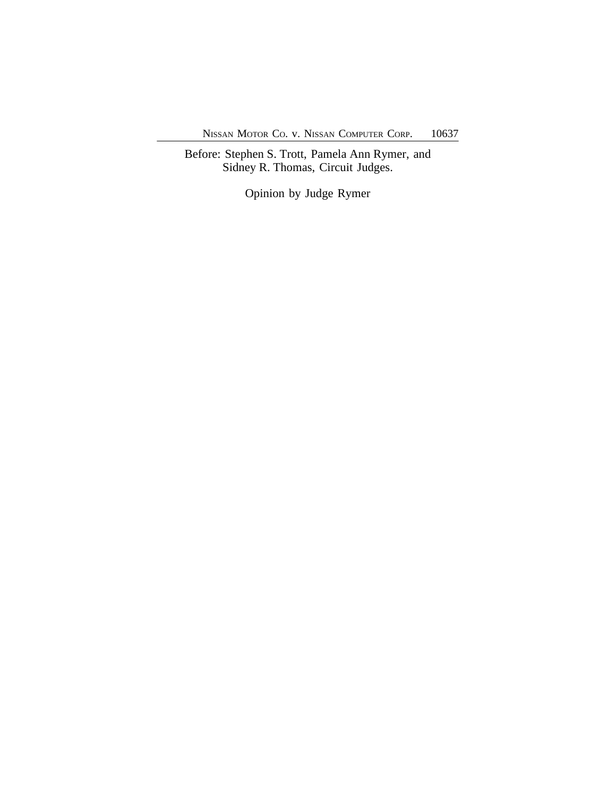NISSAN MOTOR CO. v. NISSAN COMPUTER CORP. 10637

Before: Stephen S. Trott, Pamela Ann Rymer, and Sidney R. Thomas, Circuit Judges.

Opinion by Judge Rymer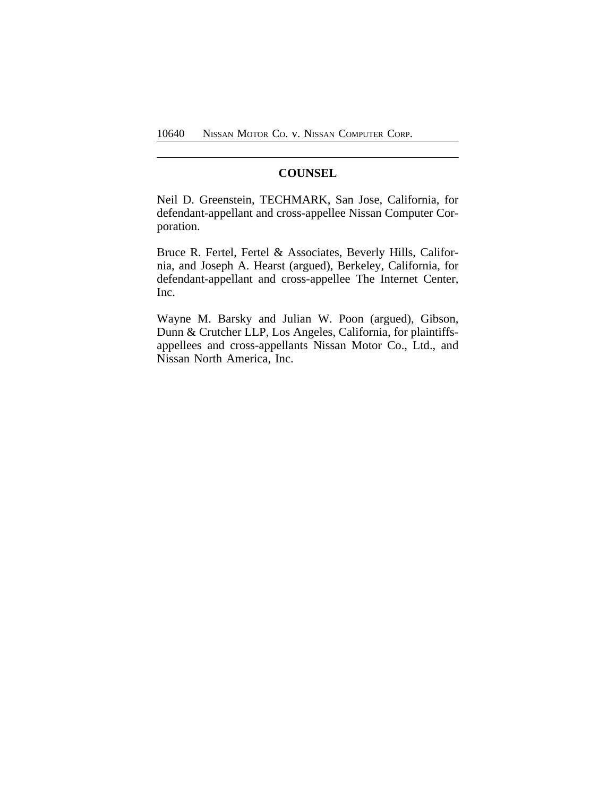## **COUNSEL**

Neil D. Greenstein, TECHMARK, San Jose, California, for defendant-appellant and cross-appellee Nissan Computer Corporation.

Bruce R. Fertel, Fertel & Associates, Beverly Hills, California, and Joseph A. Hearst (argued), Berkeley, California, for defendant-appellant and cross-appellee The Internet Center, Inc.

Wayne M. Barsky and Julian W. Poon (argued), Gibson, Dunn & Crutcher LLP, Los Angeles, California, for plaintiffsappellees and cross-appellants Nissan Motor Co., Ltd., and Nissan North America, Inc.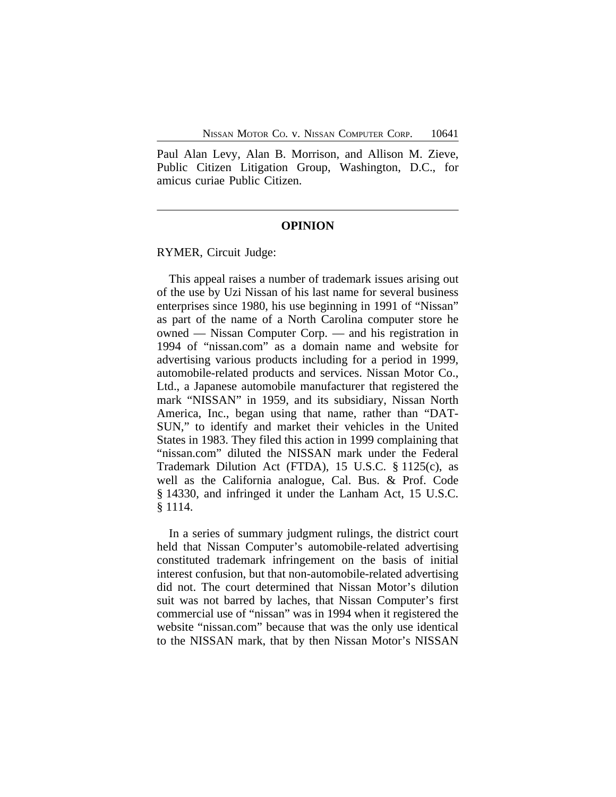Paul Alan Levy, Alan B. Morrison, and Allison M. Zieve, Public Citizen Litigation Group, Washington, D.C., for amicus curiae Public Citizen.

## **OPINION**

RYMER, Circuit Judge:

This appeal raises a number of trademark issues arising out of the use by Uzi Nissan of his last name for several business enterprises since 1980, his use beginning in 1991 of "Nissan" as part of the name of a North Carolina computer store he owned — Nissan Computer Corp. — and his registration in 1994 of "nissan.com" as a domain name and website for advertising various products including for a period in 1999, automobile-related products and services. Nissan Motor Co., Ltd., a Japanese automobile manufacturer that registered the mark "NISSAN" in 1959, and its subsidiary, Nissan North America, Inc., began using that name, rather than "DAT-SUN," to identify and market their vehicles in the United States in 1983. They filed this action in 1999 complaining that "nissan.com" diluted the NISSAN mark under the Federal Trademark Dilution Act (FTDA), 15 U.S.C. § 1125(c), as well as the California analogue, Cal. Bus. & Prof. Code § 14330, and infringed it under the Lanham Act, 15 U.S.C. § 1114.

In a series of summary judgment rulings, the district court held that Nissan Computer's automobile-related advertising constituted trademark infringement on the basis of initial interest confusion, but that non-automobile-related advertising did not. The court determined that Nissan Motor's dilution suit was not barred by laches, that Nissan Computer's first commercial use of "nissan" was in 1994 when it registered the website "nissan.com" because that was the only use identical to the NISSAN mark, that by then Nissan Motor's NISSAN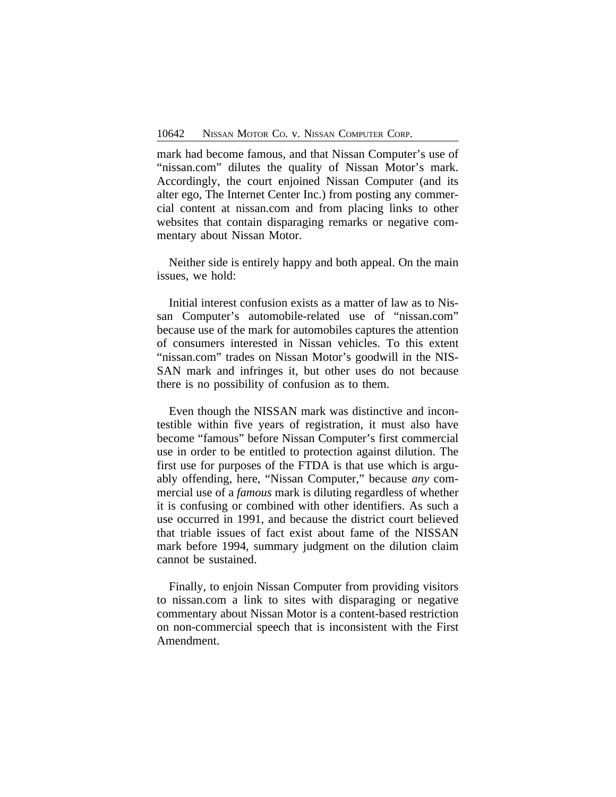mark had become famous, and that Nissan Computer's use of "nissan.com" dilutes the quality of Nissan Motor's mark. Accordingly, the court enjoined Nissan Computer (and its alter ego, The Internet Center Inc.) from posting any commercial content at nissan.com and from placing links to other websites that contain disparaging remarks or negative commentary about Nissan Motor.

Neither side is entirely happy and both appeal. On the main issues, we hold:

Initial interest confusion exists as a matter of law as to Nissan Computer's automobile-related use of "nissan.com" because use of the mark for automobiles captures the attention of consumers interested in Nissan vehicles. To this extent "nissan.com" trades on Nissan Motor's goodwill in the NIS-SAN mark and infringes it, but other uses do not because there is no possibility of confusion as to them.

Even though the NISSAN mark was distinctive and incontestible within five years of registration, it must also have become "famous" before Nissan Computer's first commercial use in order to be entitled to protection against dilution. The first use for purposes of the FTDA is that use which is arguably offending, here, "Nissan Computer," because *any* commercial use of a *famous* mark is diluting regardless of whether it is confusing or combined with other identifiers. As such a use occurred in 1991, and because the district court believed that triable issues of fact exist about fame of the NISSAN mark before 1994, summary judgment on the dilution claim cannot be sustained.

Finally, to enjoin Nissan Computer from providing visitors to nissan.com a link to sites with disparaging or negative commentary about Nissan Motor is a content-based restriction on non-commercial speech that is inconsistent with the First Amendment.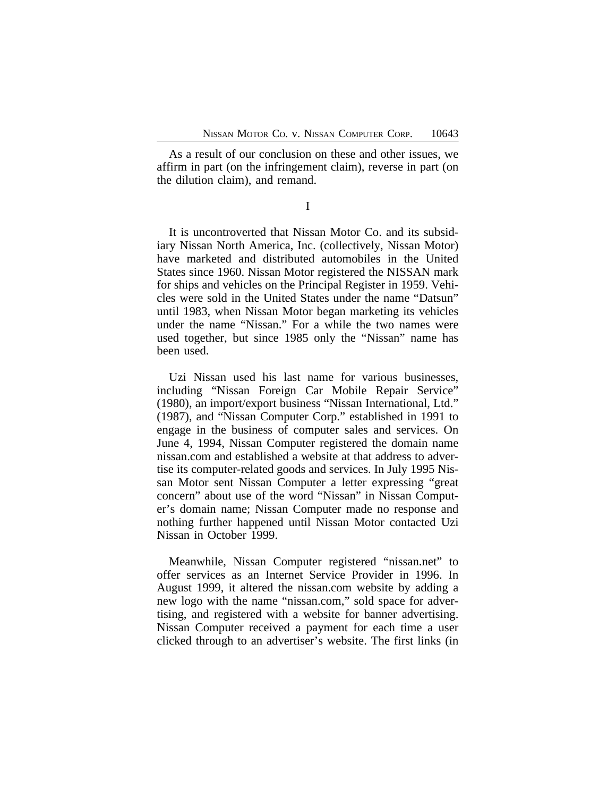As a result of our conclusion on these and other issues, we affirm in part (on the infringement claim), reverse in part (on the dilution claim), and remand.

I

It is uncontroverted that Nissan Motor Co. and its subsidiary Nissan North America, Inc. (collectively, Nissan Motor) have marketed and distributed automobiles in the United States since 1960. Nissan Motor registered the NISSAN mark for ships and vehicles on the Principal Register in 1959. Vehicles were sold in the United States under the name "Datsun" until 1983, when Nissan Motor began marketing its vehicles under the name "Nissan." For a while the two names were used together, but since 1985 only the "Nissan" name has been used.

Uzi Nissan used his last name for various businesses, including "Nissan Foreign Car Mobile Repair Service" (1980), an import/export business "Nissan International, Ltd." (1987), and "Nissan Computer Corp." established in 1991 to engage in the business of computer sales and services. On June 4, 1994, Nissan Computer registered the domain name nissan.com and established a website at that address to advertise its computer-related goods and services. In July 1995 Nissan Motor sent Nissan Computer a letter expressing "great concern" about use of the word "Nissan" in Nissan Computer's domain name; Nissan Computer made no response and nothing further happened until Nissan Motor contacted Uzi Nissan in October 1999.

Meanwhile, Nissan Computer registered "nissan.net" to offer services as an Internet Service Provider in 1996. In August 1999, it altered the nissan.com website by adding a new logo with the name "nissan.com," sold space for advertising, and registered with a website for banner advertising. Nissan Computer received a payment for each time a user clicked through to an advertiser's website. The first links (in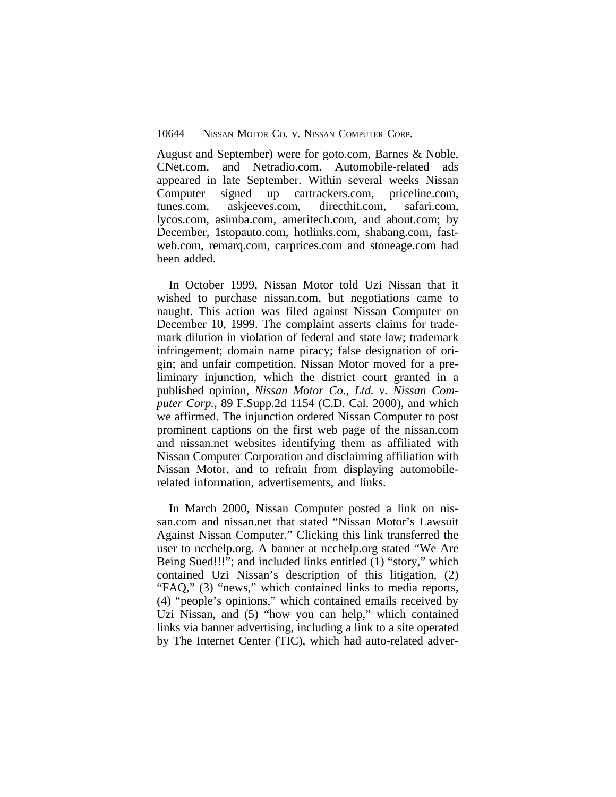August and September) were for goto.com, Barnes & Noble, CNet.com, and Netradio.com. Automobile-related ads appeared in late September. Within several weeks Nissan Computer signed up cartrackers.com, priceline.com, tunes.com, askjeeves.com, directhit.com, safari.com, lycos.com, asimba.com, ameritech.com, and about.com; by December, 1stopauto.com, hotlinks.com, shabang.com, fastweb.com, remarq.com, carprices.com and stoneage.com had been added.

In October 1999, Nissan Motor told Uzi Nissan that it wished to purchase nissan.com, but negotiations came to naught. This action was filed against Nissan Computer on December 10, 1999. The complaint asserts claims for trademark dilution in violation of federal and state law; trademark infringement; domain name piracy; false designation of origin; and unfair competition. Nissan Motor moved for a preliminary injunction, which the district court granted in a published opinion, *Nissan Motor Co., Ltd. v. Nissan Computer Corp.*, 89 F.Supp.2d 1154 (C.D. Cal. 2000), and which we affirmed. The injunction ordered Nissan Computer to post prominent captions on the first web page of the nissan.com and nissan.net websites identifying them as affiliated with Nissan Computer Corporation and disclaiming affiliation with Nissan Motor, and to refrain from displaying automobilerelated information, advertisements, and links.

In March 2000, Nissan Computer posted a link on nissan.com and nissan.net that stated "Nissan Motor's Lawsuit Against Nissan Computer." Clicking this link transferred the user to ncchelp.org. A banner at ncchelp.org stated "We Are Being Sued!!!"; and included links entitled (1) "story," which contained Uzi Nissan's description of this litigation, (2) "FAQ," (3) "news," which contained links to media reports, (4) "people's opinions," which contained emails received by Uzi Nissan, and (5) "how you can help," which contained links via banner advertising, including a link to a site operated by The Internet Center (TIC), which had auto-related adver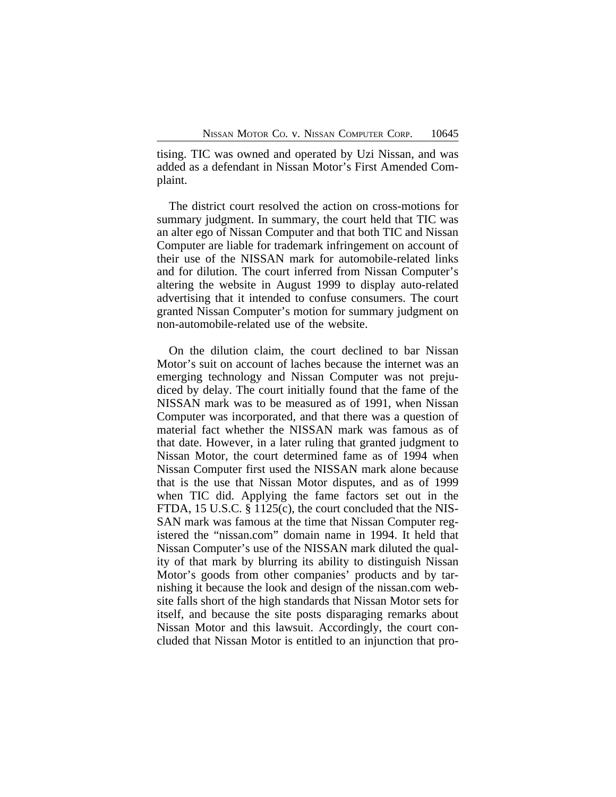tising. TIC was owned and operated by Uzi Nissan, and was added as a defendant in Nissan Motor's First Amended Complaint.

The district court resolved the action on cross-motions for summary judgment. In summary, the court held that TIC was an alter ego of Nissan Computer and that both TIC and Nissan Computer are liable for trademark infringement on account of their use of the NISSAN mark for automobile-related links and for dilution. The court inferred from Nissan Computer's altering the website in August 1999 to display auto-related advertising that it intended to confuse consumers. The court granted Nissan Computer's motion for summary judgment on non-automobile-related use of the website.

On the dilution claim, the court declined to bar Nissan Motor's suit on account of laches because the internet was an emerging technology and Nissan Computer was not prejudiced by delay. The court initially found that the fame of the NISSAN mark was to be measured as of 1991, when Nissan Computer was incorporated, and that there was a question of material fact whether the NISSAN mark was famous as of that date. However, in a later ruling that granted judgment to Nissan Motor, the court determined fame as of 1994 when Nissan Computer first used the NISSAN mark alone because that is the use that Nissan Motor disputes, and as of 1999 when TIC did. Applying the fame factors set out in the FTDA, 15 U.S.C. § 1125(c), the court concluded that the NIS-SAN mark was famous at the time that Nissan Computer registered the "nissan.com" domain name in 1994. It held that Nissan Computer's use of the NISSAN mark diluted the quality of that mark by blurring its ability to distinguish Nissan Motor's goods from other companies' products and by tarnishing it because the look and design of the nissan.com website falls short of the high standards that Nissan Motor sets for itself, and because the site posts disparaging remarks about Nissan Motor and this lawsuit. Accordingly, the court concluded that Nissan Motor is entitled to an injunction that pro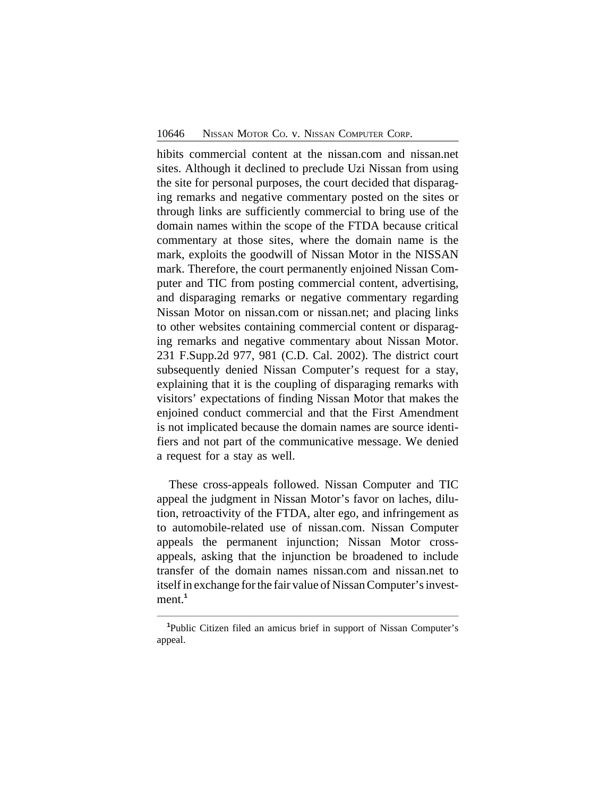hibits commercial content at the nissan.com and nissan.net sites. Although it declined to preclude Uzi Nissan from using the site for personal purposes, the court decided that disparaging remarks and negative commentary posted on the sites or through links are sufficiently commercial to bring use of the domain names within the scope of the FTDA because critical commentary at those sites, where the domain name is the mark, exploits the goodwill of Nissan Motor in the NISSAN mark. Therefore, the court permanently enjoined Nissan Computer and TIC from posting commercial content, advertising, and disparaging remarks or negative commentary regarding Nissan Motor on nissan.com or nissan.net; and placing links to other websites containing commercial content or disparaging remarks and negative commentary about Nissan Motor. 231 F.Supp.2d 977, 981 (C.D. Cal. 2002). The district court subsequently denied Nissan Computer's request for a stay, explaining that it is the coupling of disparaging remarks with visitors' expectations of finding Nissan Motor that makes the enjoined conduct commercial and that the First Amendment is not implicated because the domain names are source identifiers and not part of the communicative message. We denied a request for a stay as well.

These cross-appeals followed. Nissan Computer and TIC appeal the judgment in Nissan Motor's favor on laches, dilution, retroactivity of the FTDA, alter ego, and infringement as to automobile-related use of nissan.com. Nissan Computer appeals the permanent injunction; Nissan Motor crossappeals, asking that the injunction be broadened to include transfer of the domain names nissan.com and nissan.net to itself in exchange for the fair value of Nissan Computer's investment.<sup>1</sup>

**<sup>1</sup>**Public Citizen filed an amicus brief in support of Nissan Computer's appeal.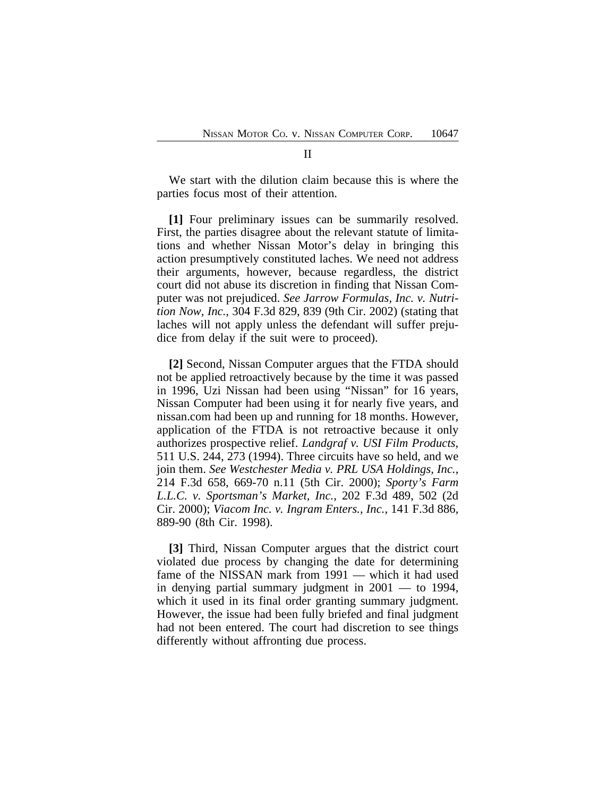#### II

We start with the dilution claim because this is where the parties focus most of their attention.

**[1]** Four preliminary issues can be summarily resolved. First, the parties disagree about the relevant statute of limitations and whether Nissan Motor's delay in bringing this action presumptively constituted laches. We need not address their arguments, however, because regardless, the district court did not abuse its discretion in finding that Nissan Computer was not prejudiced. *See Jarrow Formulas, Inc. v. Nutrition Now, Inc.*, 304 F.3d 829, 839 (9th Cir. 2002) (stating that laches will not apply unless the defendant will suffer prejudice from delay if the suit were to proceed).

**[2]** Second, Nissan Computer argues that the FTDA should not be applied retroactively because by the time it was passed in 1996, Uzi Nissan had been using "Nissan" for 16 years, Nissan Computer had been using it for nearly five years, and nissan.com had been up and running for 18 months. However, application of the FTDA is not retroactive because it only authorizes prospective relief. *Landgraf v. USI Film Products*, 511 U.S. 244, 273 (1994). Three circuits have so held, and we join them. *See Westchester Media v. PRL USA Holdings, Inc.*, 214 F.3d 658, 669-70 n.11 (5th Cir. 2000); *Sporty's Farm L.L.C. v. Sportsman's Market, Inc.*, 202 F.3d 489, 502 (2d Cir. 2000); *Viacom Inc. v. Ingram Enters., Inc.*, 141 F.3d 886, 889-90 (8th Cir. 1998).

**[3]** Third, Nissan Computer argues that the district court violated due process by changing the date for determining fame of the NISSAN mark from 1991 — which it had used in denying partial summary judgment in 2001 — to 1994, which it used in its final order granting summary judgment. However, the issue had been fully briefed and final judgment had not been entered. The court had discretion to see things differently without affronting due process.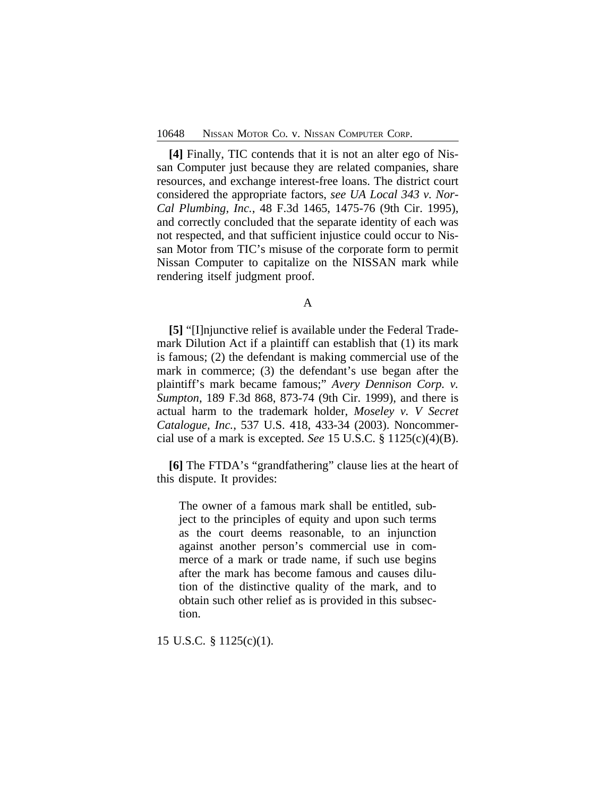**[4]** Finally, TIC contends that it is not an alter ego of Nissan Computer just because they are related companies, share resources, and exchange interest-free loans. The district court considered the appropriate factors, *see UA Local 343 v. Nor-Cal Plumbing, Inc.*, 48 F.3d 1465, 1475-76 (9th Cir. 1995), and correctly concluded that the separate identity of each was not respected, and that sufficient injustice could occur to Nissan Motor from TIC's misuse of the corporate form to permit Nissan Computer to capitalize on the NISSAN mark while rendering itself judgment proof.

**[5]** "[I]njunctive relief is available under the Federal Trademark Dilution Act if a plaintiff can establish that (1) its mark is famous; (2) the defendant is making commercial use of the mark in commerce; (3) the defendant's use began after the plaintiff's mark became famous;" *Avery Dennison Corp. v. Sumpton*, 189 F.3d 868, 873-74 (9th Cir. 1999), and there is actual harm to the trademark holder, *Moseley v. V Secret Catalogue, Inc.*, 537 U.S. 418, 433-34 (2003). Noncommercial use of a mark is excepted. *See* 15 U.S.C. § 1125(c)(4)(B).

**[6]** The FTDA's "grandfathering" clause lies at the heart of this dispute. It provides:

The owner of a famous mark shall be entitled, subject to the principles of equity and upon such terms as the court deems reasonable, to an injunction against another person's commercial use in commerce of a mark or trade name, if such use begins after the mark has become famous and causes dilution of the distinctive quality of the mark, and to obtain such other relief as is provided in this subsection.

15 U.S.C. § 1125(c)(1).

A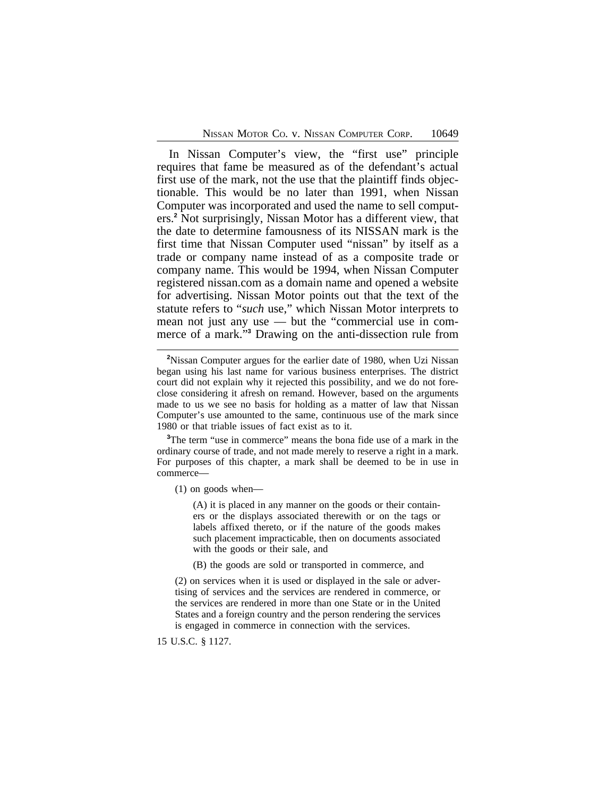In Nissan Computer's view, the "first use" principle requires that fame be measured as of the defendant's actual first use of the mark, not the use that the plaintiff finds objectionable. This would be no later than 1991, when Nissan Computer was incorporated and used the name to sell computers.**<sup>2</sup>** Not surprisingly, Nissan Motor has a different view, that the date to determine famousness of its NISSAN mark is the first time that Nissan Computer used "nissan" by itself as a trade or company name instead of as a composite trade or company name. This would be 1994, when Nissan Computer registered nissan.com as a domain name and opened a website for advertising. Nissan Motor points out that the text of the statute refers to "*such* use," which Nissan Motor interprets to mean not just any use — but the "commercial use in commerce of a mark." **3** Drawing on the anti-dissection rule from

**<sup>3</sup>**The term "use in commerce" means the bona fide use of a mark in the ordinary course of trade, and not made merely to reserve a right in a mark. For purposes of this chapter, a mark shall be deemed to be in use in commerce—

(1) on goods when—

(A) it is placed in any manner on the goods or their containers or the displays associated therewith or on the tags or labels affixed thereto, or if the nature of the goods makes such placement impracticable, then on documents associated with the goods or their sale, and

(B) the goods are sold or transported in commerce, and

(2) on services when it is used or displayed in the sale or advertising of services and the services are rendered in commerce, or the services are rendered in more than one State or in the United States and a foreign country and the person rendering the services is engaged in commerce in connection with the services.

15 U.S.C. § 1127.

**<sup>2</sup>**Nissan Computer argues for the earlier date of 1980, when Uzi Nissan began using his last name for various business enterprises. The district court did not explain why it rejected this possibility, and we do not foreclose considering it afresh on remand. However, based on the arguments made to us we see no basis for holding as a matter of law that Nissan Computer's use amounted to the same, continuous use of the mark since 1980 or that triable issues of fact exist as to it.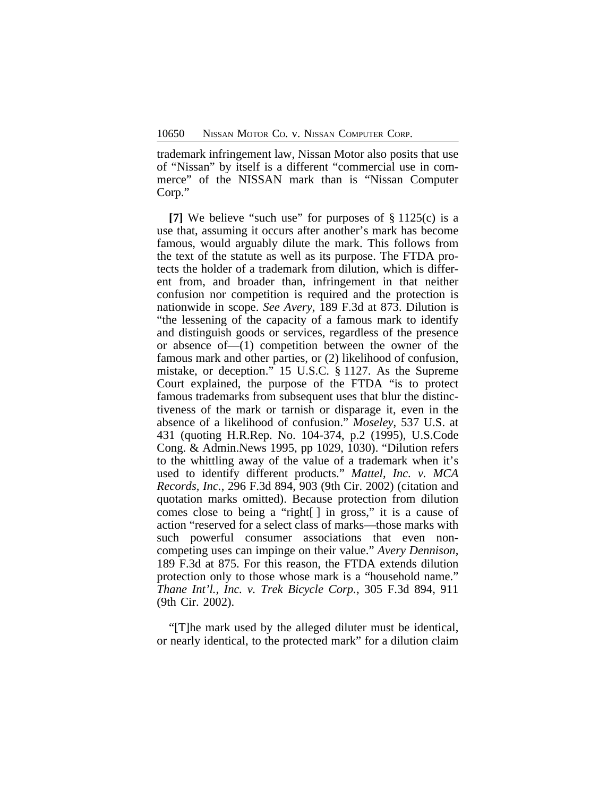trademark infringement law, Nissan Motor also posits that use of "Nissan" by itself is a different "commercial use in commerce" of the NISSAN mark than is "Nissan Computer Corp."

**[7]** We believe "such use" for purposes of § 1125(c) is a use that, assuming it occurs after another's mark has become famous, would arguably dilute the mark. This follows from the text of the statute as well as its purpose. The FTDA protects the holder of a trademark from dilution, which is different from, and broader than, infringement in that neither confusion nor competition is required and the protection is nationwide in scope. *See Avery*, 189 F.3d at 873. Dilution is "the lessening of the capacity of a famous mark to identify and distinguish goods or services, regardless of the presence or absence of  $-(1)$  competition between the owner of the famous mark and other parties, or (2) likelihood of confusion, mistake, or deception." 15 U.S.C. § 1127. As the Supreme Court explained, the purpose of the FTDA "is to protect famous trademarks from subsequent uses that blur the distinctiveness of the mark or tarnish or disparage it, even in the absence of a likelihood of confusion." *Moseley*, 537 U.S. at 431 (quoting H.R.Rep. No. 104-374, p.2 (1995), U.S.Code Cong. & Admin.News 1995, pp 1029, 1030). "Dilution refers to the whittling away of the value of a trademark when it's used to identify different products." *Mattel, Inc. v. MCA Records, Inc.*, 296 F.3d 894, 903 (9th Cir. 2002) (citation and quotation marks omitted). Because protection from dilution comes close to being a "right[ ] in gross," it is a cause of action "reserved for a select class of marks—those marks with such powerful consumer associations that even noncompeting uses can impinge on their value." *Avery Dennison*, 189 F.3d at 875. For this reason, the FTDA extends dilution protection only to those whose mark is a "household name." *Thane Int'l., Inc. v. Trek Bicycle Corp.*, 305 F.3d 894, 911 (9th Cir. 2002).

"[T]he mark used by the alleged diluter must be identical, or nearly identical, to the protected mark" for a dilution claim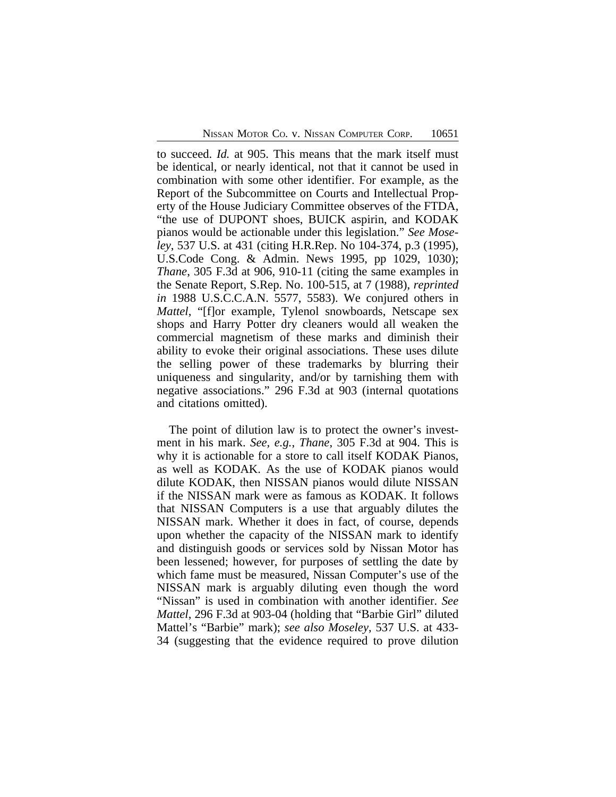to succeed. *Id.* at 905. This means that the mark itself must be identical, or nearly identical, not that it cannot be used in combination with some other identifier. For example, as the Report of the Subcommittee on Courts and Intellectual Property of the House Judiciary Committee observes of the FTDA, "the use of DUPONT shoes, BUICK aspirin, and KODAK pianos would be actionable under this legislation." *See Moseley*, 537 U.S. at 431 (citing H.R.Rep. No 104-374, p.3 (1995), U.S.Code Cong. & Admin. News 1995, pp 1029, 1030); *Thane*, 305 F.3d at 906, 910-11 (citing the same examples in the Senate Report, S.Rep. No. 100-515, at 7 (1988), *reprinted in* 1988 U.S.C.C.A.N. 5577, 5583). We conjured others in *Mattel*, "[f]or example, Tylenol snowboards, Netscape sex shops and Harry Potter dry cleaners would all weaken the commercial magnetism of these marks and diminish their ability to evoke their original associations. These uses dilute the selling power of these trademarks by blurring their uniqueness and singularity, and/or by tarnishing them with negative associations." 296 F.3d at 903 (internal quotations and citations omitted).

The point of dilution law is to protect the owner's investment in his mark. *See, e.g.*, *Thane*, 305 F.3d at 904. This is why it is actionable for a store to call itself KODAK Pianos, as well as KODAK. As the use of KODAK pianos would dilute KODAK, then NISSAN pianos would dilute NISSAN if the NISSAN mark were as famous as KODAK. It follows that NISSAN Computers is a use that arguably dilutes the NISSAN mark. Whether it does in fact, of course, depends upon whether the capacity of the NISSAN mark to identify and distinguish goods or services sold by Nissan Motor has been lessened; however, for purposes of settling the date by which fame must be measured, Nissan Computer's use of the NISSAN mark is arguably diluting even though the word "Nissan" is used in combination with another identifier. *See Mattel*, 296 F.3d at 903-04 (holding that "Barbie Girl" diluted Mattel's "Barbie" mark); *see also Moseley*, 537 U.S. at 433- 34 (suggesting that the evidence required to prove dilution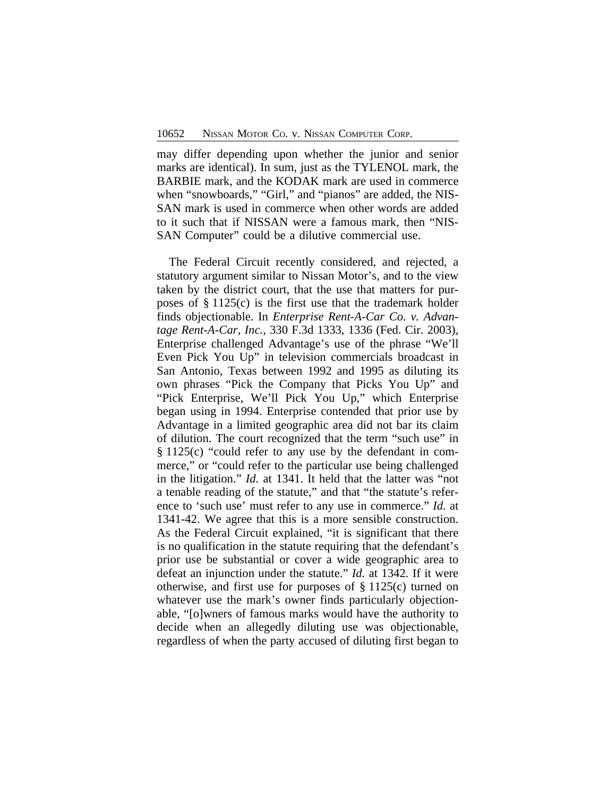may differ depending upon whether the junior and senior marks are identical). In sum, just as the TYLENOL mark, the BARBIE mark, and the KODAK mark are used in commerce when "snowboards," "Girl," and "pianos" are added, the NIS-SAN mark is used in commerce when other words are added to it such that if NISSAN were a famous mark, then "NIS-SAN Computer" could be a dilutive commercial use.

The Federal Circuit recently considered, and rejected, a statutory argument similar to Nissan Motor's, and to the view taken by the district court, that the use that matters for purposes of  $\S 1125(c)$  is the first use that the trademark holder finds objectionable. In *Enterprise Rent-A-Car Co. v. Advantage Rent-A-Car, Inc.*, 330 F.3d 1333, 1336 (Fed. Cir. 2003), Enterprise challenged Advantage's use of the phrase "We'll Even Pick You Up" in television commercials broadcast in San Antonio, Texas between 1992 and 1995 as diluting its own phrases "Pick the Company that Picks You Up" and "Pick Enterprise, We'll Pick You Up," which Enterprise began using in 1994. Enterprise contended that prior use by Advantage in a limited geographic area did not bar its claim of dilution. The court recognized that the term "such use" in § 1125(c) "could refer to any use by the defendant in commerce," or "could refer to the particular use being challenged in the litigation." *Id.* at 1341. It held that the latter was "not a tenable reading of the statute," and that "the statute's reference to 'such use' must refer to any use in commerce." *Id.* at 1341-42. We agree that this is a more sensible construction. As the Federal Circuit explained, "it is significant that there is no qualification in the statute requiring that the defendant's prior use be substantial or cover a wide geographic area to defeat an injunction under the statute." *Id.* at 1342. If it were otherwise, and first use for purposes of § 1125(c) turned on whatever use the mark's owner finds particularly objectionable, "[o]wners of famous marks would have the authority to decide when an allegedly diluting use was objectionable, regardless of when the party accused of diluting first began to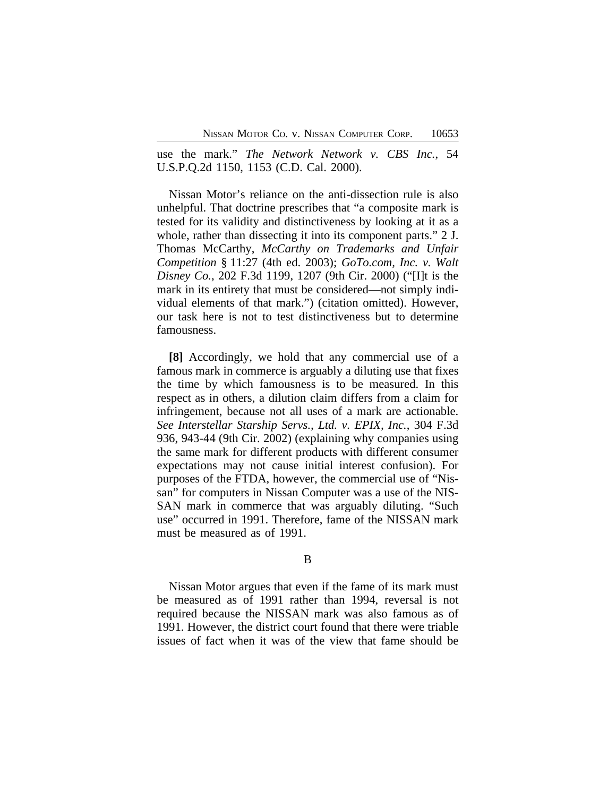use the mark." *The Network Network v. CBS Inc.*, 54 U.S.P.Q.2d 1150, 1153 (C.D. Cal. 2000).

Nissan Motor's reliance on the anti-dissection rule is also unhelpful. That doctrine prescribes that "a composite mark is tested for its validity and distinctiveness by looking at it as a whole, rather than dissecting it into its component parts." 2 J. Thomas McCarthy, *McCarthy on Trademarks and Unfair Competition* § 11:27 (4th ed. 2003); *GoTo.com, Inc. v. Walt Disney Co.*, 202 F.3d 1199, 1207 (9th Cir. 2000) ("[I]t is the mark in its entirety that must be considered—not simply individual elements of that mark.") (citation omitted). However, our task here is not to test distinctiveness but to determine famousness.

**[8]** Accordingly, we hold that any commercial use of a famous mark in commerce is arguably a diluting use that fixes the time by which famousness is to be measured. In this respect as in others, a dilution claim differs from a claim for infringement, because not all uses of a mark are actionable. *See Interstellar Starship Servs., Ltd. v. EPIX, Inc.*, 304 F.3d 936, 943-44 (9th Cir. 2002) (explaining why companies using the same mark for different products with different consumer expectations may not cause initial interest confusion). For purposes of the FTDA, however, the commercial use of "Nissan" for computers in Nissan Computer was a use of the NIS-SAN mark in commerce that was arguably diluting. "Such use" occurred in 1991. Therefore, fame of the NISSAN mark must be measured as of 1991.

Nissan Motor argues that even if the fame of its mark must be measured as of 1991 rather than 1994, reversal is not required because the NISSAN mark was also famous as of 1991. However, the district court found that there were triable issues of fact when it was of the view that fame should be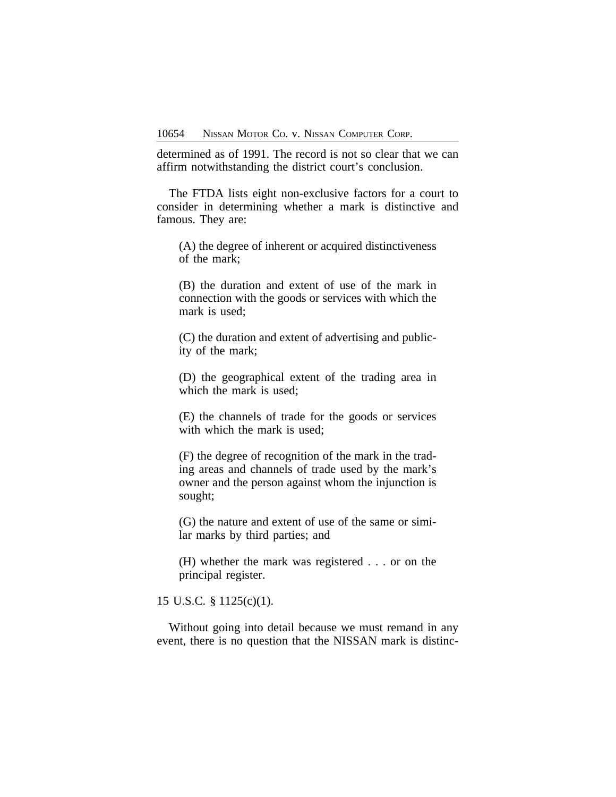determined as of 1991. The record is not so clear that we can affirm notwithstanding the district court's conclusion.

The FTDA lists eight non-exclusive factors for a court to consider in determining whether a mark is distinctive and famous. They are:

(A) the degree of inherent or acquired distinctiveness of the mark;

(B) the duration and extent of use of the mark in connection with the goods or services with which the mark is used;

(C) the duration and extent of advertising and publicity of the mark;

(D) the geographical extent of the trading area in which the mark is used;

(E) the channels of trade for the goods or services with which the mark is used;

(F) the degree of recognition of the mark in the trading areas and channels of trade used by the mark's owner and the person against whom the injunction is sought;

(G) the nature and extent of use of the same or similar marks by third parties; and

(H) whether the mark was registered . . . or on the principal register.

15 U.S.C. § 1125(c)(1).

Without going into detail because we must remand in any event, there is no question that the NISSAN mark is distinc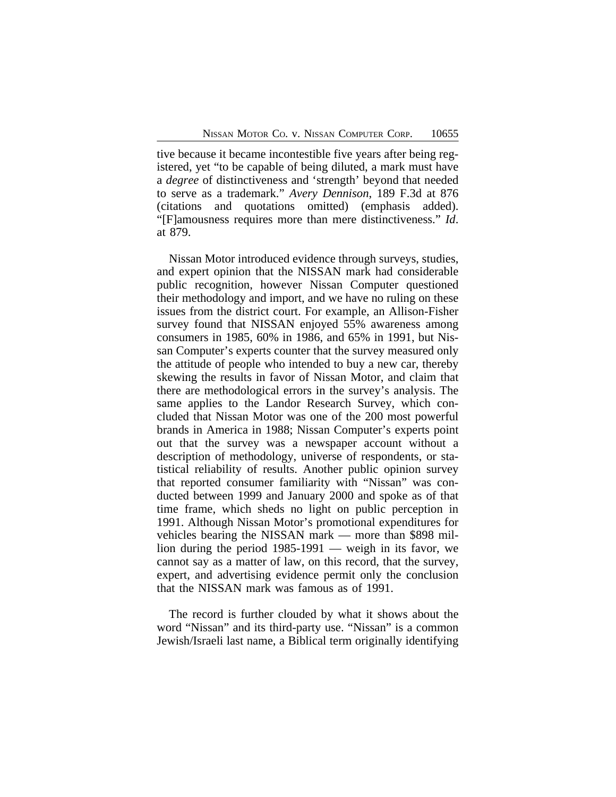tive because it became incontestible five years after being registered, yet "to be capable of being diluted, a mark must have a *degree* of distinctiveness and 'strength' beyond that needed to serve as a trademark." *Avery Dennison*, 189 F.3d at 876 (citations and quotations omitted) (emphasis added). "[F]amousness requires more than mere distinctiveness." *Id*. at 879.

Nissan Motor introduced evidence through surveys, studies, and expert opinion that the NISSAN mark had considerable public recognition, however Nissan Computer questioned their methodology and import, and we have no ruling on these issues from the district court. For example, an Allison-Fisher survey found that NISSAN enjoyed 55% awareness among consumers in 1985, 60% in 1986, and 65% in 1991, but Nissan Computer's experts counter that the survey measured only the attitude of people who intended to buy a new car, thereby skewing the results in favor of Nissan Motor, and claim that there are methodological errors in the survey's analysis. The same applies to the Landor Research Survey, which concluded that Nissan Motor was one of the 200 most powerful brands in America in 1988; Nissan Computer's experts point out that the survey was a newspaper account without a description of methodology, universe of respondents, or statistical reliability of results. Another public opinion survey that reported consumer familiarity with "Nissan" was conducted between 1999 and January 2000 and spoke as of that time frame, which sheds no light on public perception in 1991. Although Nissan Motor's promotional expenditures for vehicles bearing the NISSAN mark — more than \$898 million during the period 1985-1991 — weigh in its favor, we cannot say as a matter of law, on this record, that the survey, expert, and advertising evidence permit only the conclusion that the NISSAN mark was famous as of 1991.

The record is further clouded by what it shows about the word "Nissan" and its third-party use. "Nissan" is a common Jewish/Israeli last name, a Biblical term originally identifying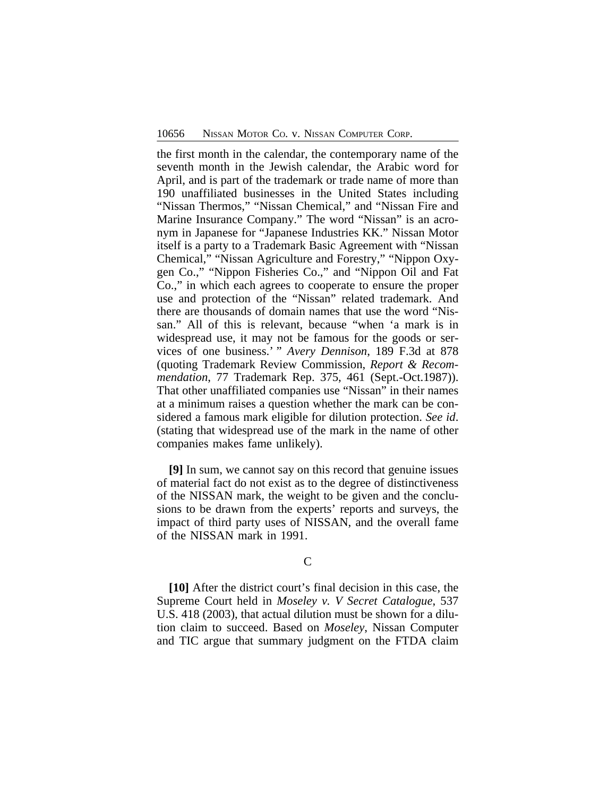the first month in the calendar, the contemporary name of the seventh month in the Jewish calendar, the Arabic word for April, and is part of the trademark or trade name of more than 190 unaffiliated businesses in the United States including "Nissan Thermos," "Nissan Chemical," and "Nissan Fire and Marine Insurance Company." The word "Nissan" is an acronym in Japanese for "Japanese Industries KK." Nissan Motor itself is a party to a Trademark Basic Agreement with "Nissan Chemical," "Nissan Agriculture and Forestry," "Nippon Oxygen Co.," "Nippon Fisheries Co.," and "Nippon Oil and Fat Co.," in which each agrees to cooperate to ensure the proper use and protection of the "Nissan" related trademark. And there are thousands of domain names that use the word "Nissan." All of this is relevant, because "when 'a mark is in widespread use, it may not be famous for the goods or services of one business.' " *Avery Dennison*, 189 F.3d at 878 (quoting Trademark Review Commission, *Report & Recommendation*, 77 Trademark Rep. 375, 461 (Sept.-Oct.1987)). That other unaffiliated companies use "Nissan" in their names at a minimum raises a question whether the mark can be considered a famous mark eligible for dilution protection. *See id*. (stating that widespread use of the mark in the name of other companies makes fame unlikely).

**[9]** In sum, we cannot say on this record that genuine issues of material fact do not exist as to the degree of distinctiveness of the NISSAN mark, the weight to be given and the conclusions to be drawn from the experts' reports and surveys, the impact of third party uses of NISSAN, and the overall fame of the NISSAN mark in 1991.

#### $\mathsf{C}$

**[10]** After the district court's final decision in this case, the Supreme Court held in *Moseley v. V Secret Catalogue*, 537 U.S. 418 (2003), that actual dilution must be shown for a dilution claim to succeed. Based on *Moseley*, Nissan Computer and TIC argue that summary judgment on the FTDA claim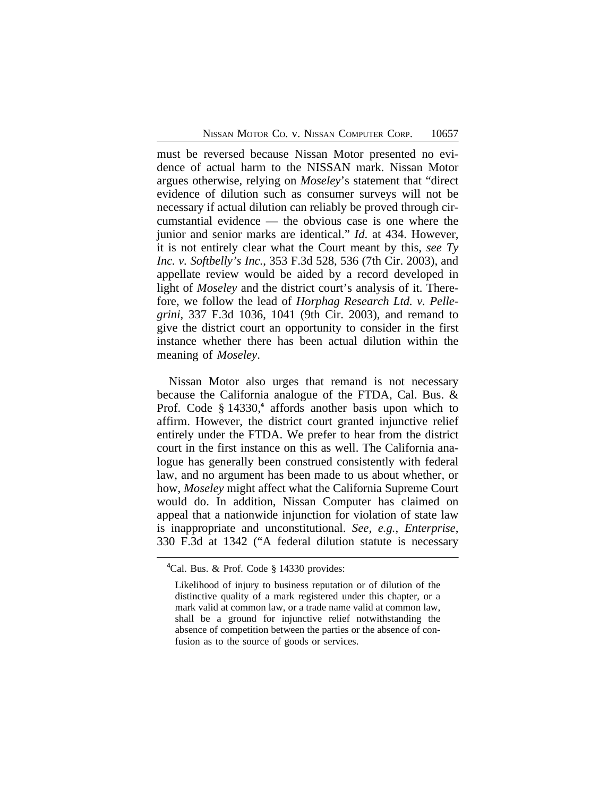must be reversed because Nissan Motor presented no evidence of actual harm to the NISSAN mark. Nissan Motor argues otherwise, relying on *Moseley*'s statement that "direct evidence of dilution such as consumer surveys will not be necessary if actual dilution can reliably be proved through circumstantial evidence — the obvious case is one where the junior and senior marks are identical." *Id*. at 434. However, it is not entirely clear what the Court meant by this, *see Ty Inc. v. Softbelly's Inc.*, 353 F.3d 528, 536 (7th Cir. 2003), and appellate review would be aided by a record developed in light of *Moseley* and the district court's analysis of it. Therefore, we follow the lead of *Horphag Research Ltd. v. Pellegrini*, 337 F.3d 1036, 1041 (9th Cir. 2003), and remand to give the district court an opportunity to consider in the first instance whether there has been actual dilution within the meaning of *Moseley*.

Nissan Motor also urges that remand is not necessary because the California analogue of the FTDA, Cal. Bus. & Prof. Code § 14330,<sup>4</sup> affords another basis upon which to affirm. However, the district court granted injunctive relief entirely under the FTDA. We prefer to hear from the district court in the first instance on this as well. The California analogue has generally been construed consistently with federal law, and no argument has been made to us about whether, or how, *Moseley* might affect what the California Supreme Court would do. In addition, Nissan Computer has claimed on appeal that a nationwide injunction for violation of state law is inappropriate and unconstitutional. *See, e.g.*, *Enterprise*, 330 F.3d at 1342 ("A federal dilution statute is necessary

**<sup>4</sup>**Cal. Bus. & Prof. Code § 14330 provides:

Likelihood of injury to business reputation or of dilution of the distinctive quality of a mark registered under this chapter, or a mark valid at common law, or a trade name valid at common law, shall be a ground for injunctive relief notwithstanding the absence of competition between the parties or the absence of confusion as to the source of goods or services.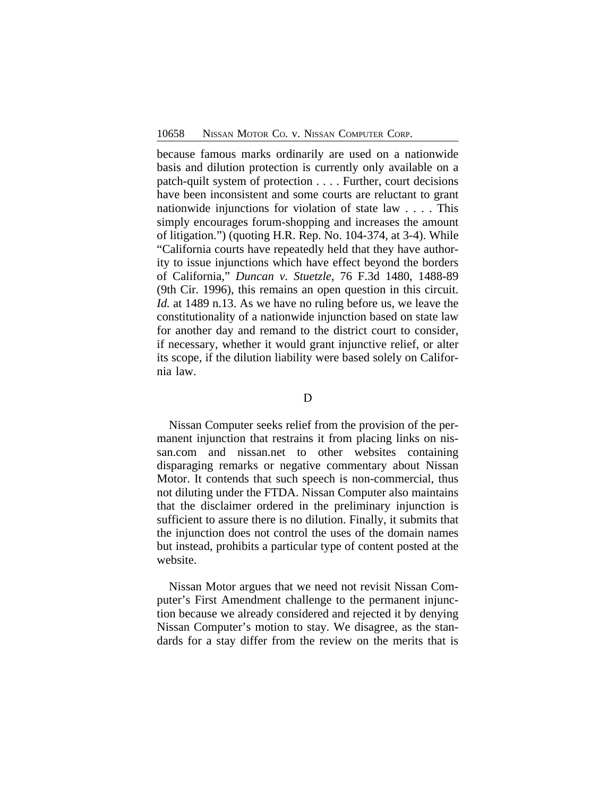because famous marks ordinarily are used on a nationwide basis and dilution protection is currently only available on a patch-quilt system of protection . . . . Further, court decisions have been inconsistent and some courts are reluctant to grant nationwide injunctions for violation of state law . . . . This simply encourages forum-shopping and increases the amount of litigation.") (quoting H.R. Rep. No. 104-374, at 3-4). While "California courts have repeatedly held that they have authority to issue injunctions which have effect beyond the borders of California," *Duncan v. Stuetzle*, 76 F.3d 1480, 1488-89 (9th Cir. 1996), this remains an open question in this circuit. *Id.* at 1489 n.13. As we have no ruling before us, we leave the constitutionality of a nationwide injunction based on state law for another day and remand to the district court to consider, if necessary, whether it would grant injunctive relief, or alter its scope, if the dilution liability were based solely on California law.

### D

Nissan Computer seeks relief from the provision of the permanent injunction that restrains it from placing links on nissan.com and nissan.net to other websites containing disparaging remarks or negative commentary about Nissan Motor. It contends that such speech is non-commercial, thus not diluting under the FTDA. Nissan Computer also maintains that the disclaimer ordered in the preliminary injunction is sufficient to assure there is no dilution. Finally, it submits that the injunction does not control the uses of the domain names but instead, prohibits a particular type of content posted at the website.

Nissan Motor argues that we need not revisit Nissan Computer's First Amendment challenge to the permanent injunction because we already considered and rejected it by denying Nissan Computer's motion to stay. We disagree, as the standards for a stay differ from the review on the merits that is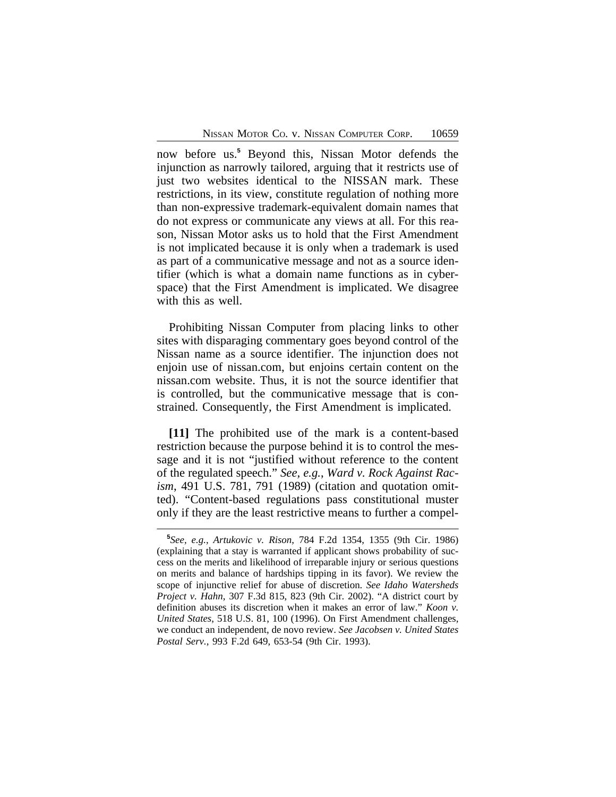now before us.**<sup>5</sup>** Beyond this, Nissan Motor defends the injunction as narrowly tailored, arguing that it restricts use of just two websites identical to the NISSAN mark. These restrictions, in its view, constitute regulation of nothing more than non-expressive trademark-equivalent domain names that do not express or communicate any views at all. For this reason, Nissan Motor asks us to hold that the First Amendment is not implicated because it is only when a trademark is used as part of a communicative message and not as a source identifier (which is what a domain name functions as in cyberspace) that the First Amendment is implicated. We disagree with this as well.

Prohibiting Nissan Computer from placing links to other sites with disparaging commentary goes beyond control of the Nissan name as a source identifier. The injunction does not enjoin use of nissan.com, but enjoins certain content on the nissan.com website. Thus, it is not the source identifier that is controlled, but the communicative message that is constrained. Consequently, the First Amendment is implicated.

**[11]** The prohibited use of the mark is a content-based restriction because the purpose behind it is to control the message and it is not "justified without reference to the content of the regulated speech." *See, e.g.*, *Ward v. Rock Against Racism*, 491 U.S. 781, 791 (1989) (citation and quotation omitted). "Content-based regulations pass constitutional muster only if they are the least restrictive means to further a compel-

**<sup>5</sup>** *See, e.g.*, *Artukovic v. Rison*, 784 F.2d 1354, 1355 (9th Cir. 1986) (explaining that a stay is warranted if applicant shows probability of success on the merits and likelihood of irreparable injury or serious questions on merits and balance of hardships tipping in its favor). We review the scope of injunctive relief for abuse of discretion. *See Idaho Watersheds Project v. Hahn*, 307 F.3d 815, 823 (9th Cir. 2002). "A district court by definition abuses its discretion when it makes an error of law." *Koon v. United States*, 518 U.S. 81, 100 (1996). On First Amendment challenges, we conduct an independent, de novo review. *See Jacobsen v. United States Postal Serv.*, 993 F.2d 649, 653-54 (9th Cir. 1993).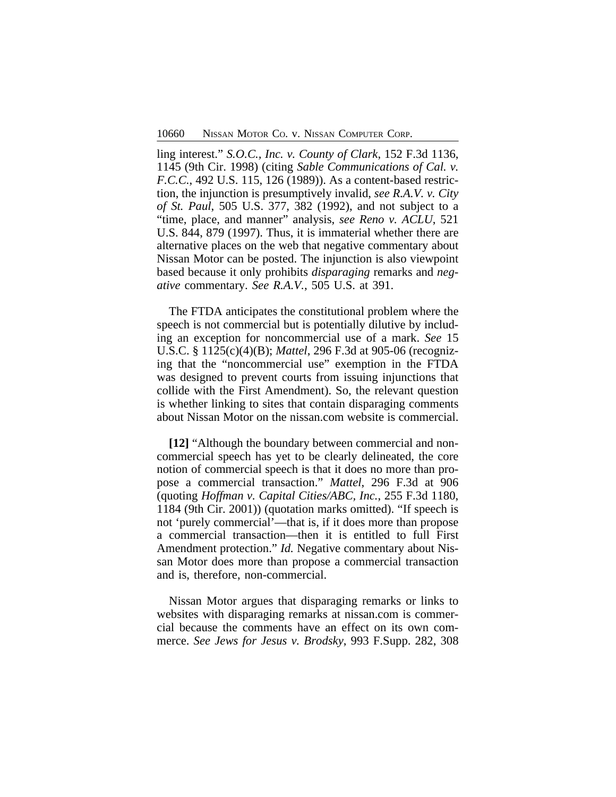ling interest." *S.O.C., Inc. v. County of Clark*, 152 F.3d 1136, 1145 (9th Cir. 1998) (citing *Sable Communications of Cal. v. F.C.C.*, 492 U.S. 115, 126 (1989)). As a content-based restriction, the injunction is presumptively invalid, *see R.A.V. v. City of St. Paul*, 505 U.S. 377, 382 (1992), and not subject to a "time, place, and manner" analysis, *see Reno v. ACLU*, 521 U.S. 844, 879 (1997). Thus, it is immaterial whether there are alternative places on the web that negative commentary about Nissan Motor can be posted. The injunction is also viewpoint based because it only prohibits *disparaging* remarks and *negative* commentary. *See R.A.V.*, 505 U.S. at 391.

The FTDA anticipates the constitutional problem where the speech is not commercial but is potentially dilutive by including an exception for noncommercial use of a mark. *See* 15 U.S.C. § 1125(c)(4)(B); *Mattel*, 296 F.3d at 905-06 (recognizing that the "noncommercial use" exemption in the FTDA was designed to prevent courts from issuing injunctions that collide with the First Amendment). So, the relevant question is whether linking to sites that contain disparaging comments about Nissan Motor on the nissan.com website is commercial.

**[12]** "Although the boundary between commercial and noncommercial speech has yet to be clearly delineated, the core notion of commercial speech is that it does no more than propose a commercial transaction." *Mattel*, 296 F.3d at 906 (quoting *Hoffman v. Capital Cities/ABC, Inc.*, 255 F.3d 1180, 1184 (9th Cir. 2001)) (quotation marks omitted). "If speech is not 'purely commercial'—that is, if it does more than propose a commercial transaction—then it is entitled to full First Amendment protection." *Id.* Negative commentary about Nissan Motor does more than propose a commercial transaction and is, therefore, non-commercial.

Nissan Motor argues that disparaging remarks or links to websites with disparaging remarks at nissan.com is commercial because the comments have an effect on its own commerce. *See Jews for Jesus v. Brodsky*, 993 F.Supp. 282, 308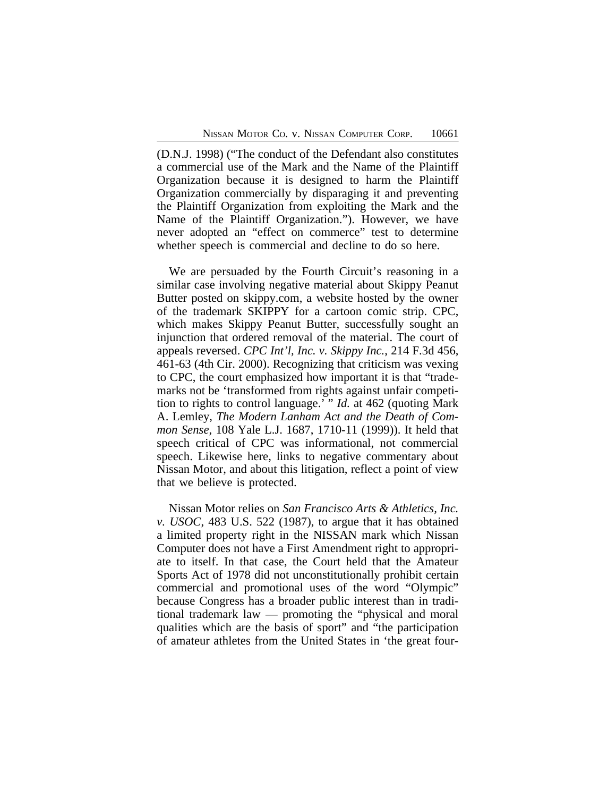(D.N.J. 1998) ("The conduct of the Defendant also constitutes a commercial use of the Mark and the Name of the Plaintiff Organization because it is designed to harm the Plaintiff Organization commercially by disparaging it and preventing the Plaintiff Organization from exploiting the Mark and the Name of the Plaintiff Organization."). However, we have never adopted an "effect on commerce" test to determine whether speech is commercial and decline to do so here.

We are persuaded by the Fourth Circuit's reasoning in a similar case involving negative material about Skippy Peanut Butter posted on skippy.com, a website hosted by the owner of the trademark SKIPPY for a cartoon comic strip. CPC, which makes Skippy Peanut Butter, successfully sought an injunction that ordered removal of the material. The court of appeals reversed. *CPC Int'l, Inc. v. Skippy Inc.*, 214 F.3d 456, 461-63 (4th Cir. 2000). Recognizing that criticism was vexing to CPC, the court emphasized how important it is that "trademarks not be 'transformed from rights against unfair competition to rights to control language.' " *Id.* at 462 (quoting Mark A. Lemley, *The Modern Lanham Act and the Death of Common Sense*, 108 Yale L.J. 1687, 1710-11 (1999)). It held that speech critical of CPC was informational, not commercial speech. Likewise here, links to negative commentary about Nissan Motor, and about this litigation, reflect a point of view that we believe is protected.

Nissan Motor relies on *San Francisco Arts & Athletics, Inc. v. USOC*, 483 U.S. 522 (1987), to argue that it has obtained a limited property right in the NISSAN mark which Nissan Computer does not have a First Amendment right to appropriate to itself. In that case, the Court held that the Amateur Sports Act of 1978 did not unconstitutionally prohibit certain commercial and promotional uses of the word "Olympic" because Congress has a broader public interest than in traditional trademark law — promoting the "physical and moral qualities which are the basis of sport" and "the participation of amateur athletes from the United States in 'the great four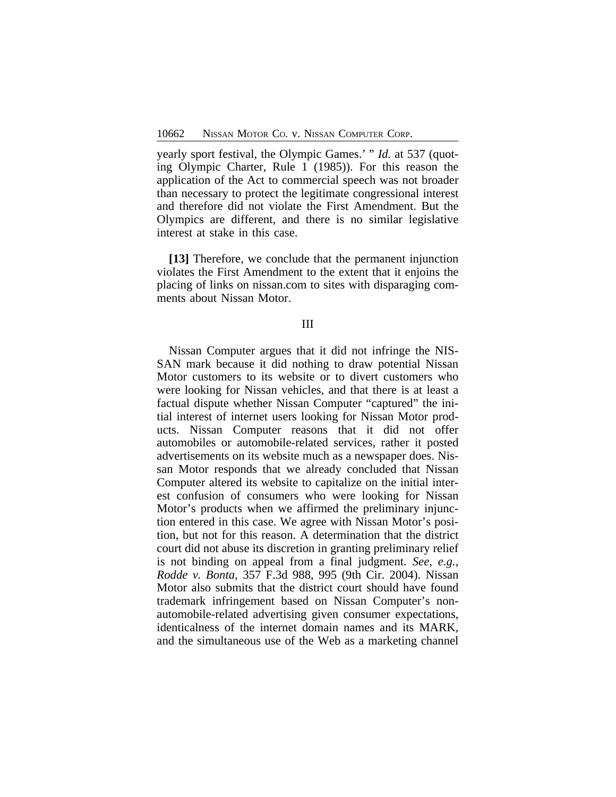yearly sport festival, the Olympic Games.' " *Id.* at 537 (quoting Olympic Charter, Rule 1 (1985)). For this reason the application of the Act to commercial speech was not broader than necessary to protect the legitimate congressional interest and therefore did not violate the First Amendment. But the Olympics are different, and there is no similar legislative interest at stake in this case.

**[13]** Therefore, we conclude that the permanent injunction violates the First Amendment to the extent that it enjoins the placing of links on nissan.com to sites with disparaging comments about Nissan Motor.

#### III

Nissan Computer argues that it did not infringe the NIS-SAN mark because it did nothing to draw potential Nissan Motor customers to its website or to divert customers who were looking for Nissan vehicles, and that there is at least a factual dispute whether Nissan Computer "captured" the initial interest of internet users looking for Nissan Motor products. Nissan Computer reasons that it did not offer automobiles or automobile-related services, rather it posted advertisements on its website much as a newspaper does. Nissan Motor responds that we already concluded that Nissan Computer altered its website to capitalize on the initial interest confusion of consumers who were looking for Nissan Motor's products when we affirmed the preliminary injunction entered in this case. We agree with Nissan Motor's position, but not for this reason. A determination that the district court did not abuse its discretion in granting preliminary relief is not binding on appeal from a final judgment. *See, e.g., Rodde v. Bonta*, 357 F.3d 988, 995 (9th Cir. 2004). Nissan Motor also submits that the district court should have found trademark infringement based on Nissan Computer's nonautomobile-related advertising given consumer expectations, identicalness of the internet domain names and its MARK, and the simultaneous use of the Web as a marketing channel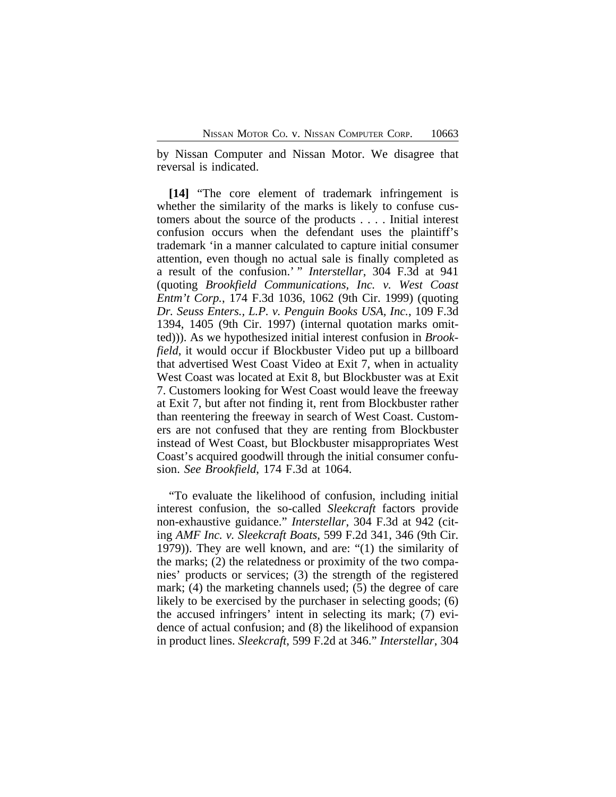by Nissan Computer and Nissan Motor. We disagree that reversal is indicated.

**[14]** "The core element of trademark infringement is whether the similarity of the marks is likely to confuse customers about the source of the products . . . . Initial interest confusion occurs when the defendant uses the plaintiff's trademark 'in a manner calculated to capture initial consumer attention, even though no actual sale is finally completed as a result of the confusion.' " *Interstellar*, 304 F.3d at 941 (quoting *Brookfield Communications, Inc. v. West Coast Entm't Corp.*, 174 F.3d 1036, 1062 (9th Cir. 1999) (quoting *Dr. Seuss Enters., L.P. v. Penguin Books USA, Inc.*, 109 F.3d 1394, 1405 (9th Cir. 1997) (internal quotation marks omitted))). As we hypothesized initial interest confusion in *Brookfield*, it would occur if Blockbuster Video put up a billboard that advertised West Coast Video at Exit 7, when in actuality West Coast was located at Exit 8, but Blockbuster was at Exit 7. Customers looking for West Coast would leave the freeway at Exit 7, but after not finding it, rent from Blockbuster rather than reentering the freeway in search of West Coast. Customers are not confused that they are renting from Blockbuster instead of West Coast, but Blockbuster misappropriates West Coast's acquired goodwill through the initial consumer confusion. *See Brookfield*, 174 F.3d at 1064.

"To evaluate the likelihood of confusion, including initial interest confusion, the so-called *Sleekcraft* factors provide non-exhaustive guidance." *Interstellar*, 304 F.3d at 942 (citing *AMF Inc. v. Sleekcraft Boats*, 599 F.2d 341, 346 (9th Cir. 1979)). They are well known, and are: "(1) the similarity of the marks; (2) the relatedness or proximity of the two companies' products or services; (3) the strength of the registered mark; (4) the marketing channels used; (5) the degree of care likely to be exercised by the purchaser in selecting goods; (6) the accused infringers' intent in selecting its mark; (7) evidence of actual confusion; and (8) the likelihood of expansion in product lines. *Sleekcraft*, 599 F.2d at 346." *Interstellar*, 304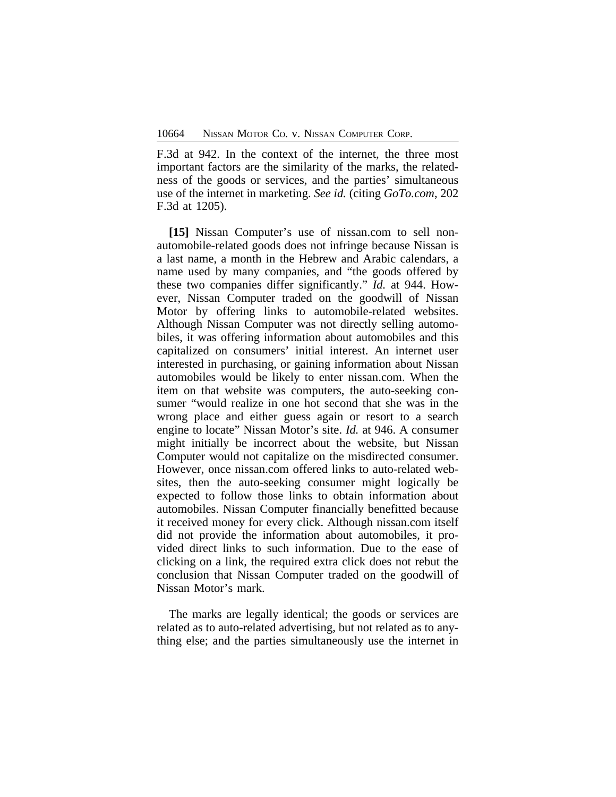F.3d at 942. In the context of the internet, the three most important factors are the similarity of the marks, the relatedness of the goods or services, and the parties' simultaneous use of the internet in marketing. *See id.* (citing *GoTo.com*, 202 F.3d at 1205).

**[15]** Nissan Computer's use of nissan.com to sell nonautomobile-related goods does not infringe because Nissan is a last name, a month in the Hebrew and Arabic calendars, a name used by many companies, and "the goods offered by these two companies differ significantly." *Id.* at 944. However, Nissan Computer traded on the goodwill of Nissan Motor by offering links to automobile-related websites. Although Nissan Computer was not directly selling automobiles, it was offering information about automobiles and this capitalized on consumers' initial interest. An internet user interested in purchasing, or gaining information about Nissan automobiles would be likely to enter nissan.com. When the item on that website was computers, the auto-seeking consumer "would realize in one hot second that she was in the wrong place and either guess again or resort to a search engine to locate" Nissan Motor's site. *Id.* at 946. A consumer might initially be incorrect about the website, but Nissan Computer would not capitalize on the misdirected consumer. However, once nissan.com offered links to auto-related websites, then the auto-seeking consumer might logically be expected to follow those links to obtain information about automobiles. Nissan Computer financially benefitted because it received money for every click. Although nissan.com itself did not provide the information about automobiles, it provided direct links to such information. Due to the ease of clicking on a link, the required extra click does not rebut the conclusion that Nissan Computer traded on the goodwill of Nissan Motor's mark.

The marks are legally identical; the goods or services are related as to auto-related advertising, but not related as to anything else; and the parties simultaneously use the internet in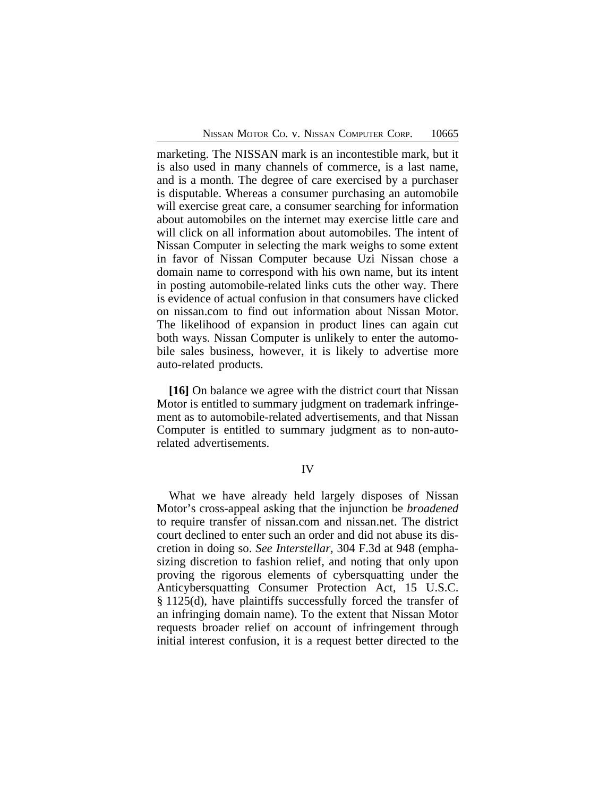marketing. The NISSAN mark is an incontestible mark, but it is also used in many channels of commerce, is a last name, and is a month. The degree of care exercised by a purchaser is disputable. Whereas a consumer purchasing an automobile will exercise great care, a consumer searching for information about automobiles on the internet may exercise little care and will click on all information about automobiles. The intent of Nissan Computer in selecting the mark weighs to some extent in favor of Nissan Computer because Uzi Nissan chose a domain name to correspond with his own name, but its intent in posting automobile-related links cuts the other way. There is evidence of actual confusion in that consumers have clicked on nissan.com to find out information about Nissan Motor. The likelihood of expansion in product lines can again cut both ways. Nissan Computer is unlikely to enter the automobile sales business, however, it is likely to advertise more auto-related products.

**[16]** On balance we agree with the district court that Nissan Motor is entitled to summary judgment on trademark infringement as to automobile-related advertisements, and that Nissan Computer is entitled to summary judgment as to non-autorelated advertisements.

#### IV

What we have already held largely disposes of Nissan Motor's cross-appeal asking that the injunction be *broadened* to require transfer of nissan.com and nissan.net. The district court declined to enter such an order and did not abuse its discretion in doing so. *See Interstellar*, 304 F.3d at 948 (emphasizing discretion to fashion relief, and noting that only upon proving the rigorous elements of cybersquatting under the Anticybersquatting Consumer Protection Act, 15 U.S.C. § 1125(d), have plaintiffs successfully forced the transfer of an infringing domain name). To the extent that Nissan Motor requests broader relief on account of infringement through initial interest confusion, it is a request better directed to the